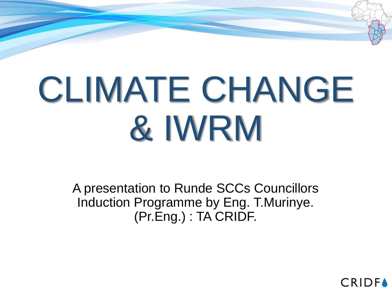# CLIMATE CHANGE & IWRM

A presentation to Runde SCCs Councillors Induction Programme by Eng. T.Murinye. (Pr.Eng.) : TA CRIDF.

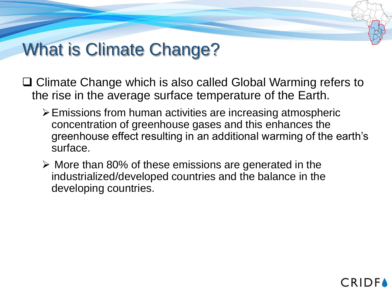# What is Climate Change?

- **□ Climate Change which is also called Global Warming refers to** the rise in the average surface temperature of the Earth.
	- ➢Emissions from human activities are increasing atmospheric concentration of greenhouse gases and this enhances the greenhouse effect resulting in an additional warming of the earth's surface.
	- ➢ More than 80% of these emissions are generated in the industrialized/developed countries and the balance in the developing countries.

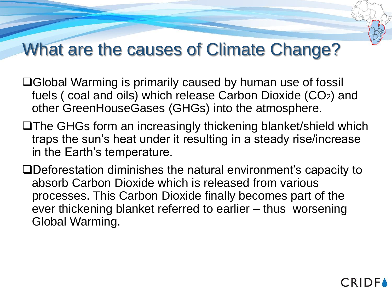#### What are the causes of Climate Change?

- □Global Warming is primarily caused by human use of fossil fuels ( coal and oils) which release Carbon Dioxide (CO2) and other GreenHouseGases (GHGs) into the atmosphere.
- The GHGs form an increasingly thickening blanket/shield which traps the sun's heat under it resulting in a steady rise/increase in the Earth's temperature.
- Deforestation diminishes the natural environment's capacity to absorb Carbon Dioxide which is released from various processes. This Carbon Dioxide finally becomes part of the ever thickening blanket referred to earlier – thus worsening Global Warming.

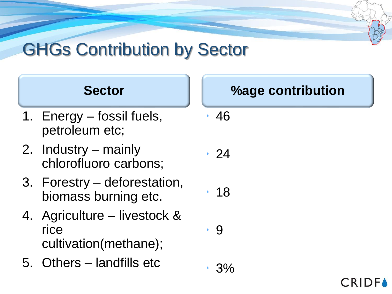# GHGs Contribution by Sector



- 1. Energy fossil fuels, petroleum etc;
- 2. Industry mainly chlorofluoro carbons;
- 3. Forestry deforestation, biomass burning etc.
- 4. Agriculture livestock & rice cultivation(methane);
- 5. Others landfills etc

- $.24$
- 18

9

3%

**CRIDF**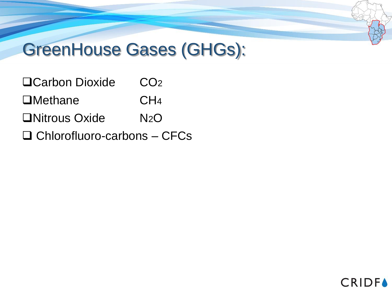#### GreenHouse Gases (GHGs):

- □Carbon Dioxide CO<sub>2</sub> □Methane CH<sub>4</sub> □Nitrous Oxide N2O
- $\Box$  Chlorofluoro-carbons CFCs

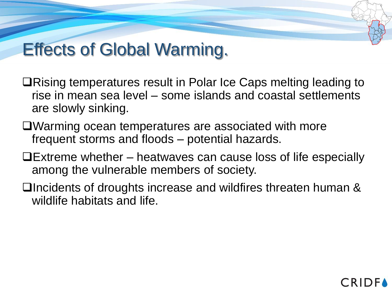#### Effects of Global Warming.

- ■Rising temperatures result in Polar Ice Caps melting leading to rise in mean sea level – some islands and coastal settlements are slowly sinking.
- Warming ocean temperatures are associated with more frequent storms and floods – potential hazards.
- $\Box$  Extreme whether heatwaves can cause loss of life especially among the vulnerable members of society.
- □Incidents of droughts increase and wildfires threaten human & wildlife habitats and life.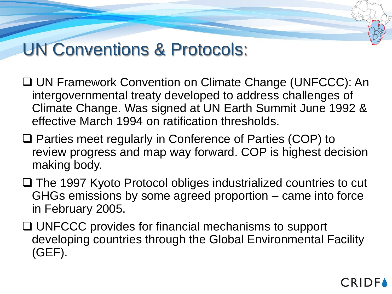#### UN Conventions & Protocols:

- UN Framework Convention on Climate Change (UNFCCC): An intergovernmental treaty developed to address challenges of Climate Change. Was signed at UN Earth Summit June 1992 & effective March 1994 on ratification thresholds.
- □ Parties meet regularly in Conference of Parties (COP) to review progress and map way forward. COP is highest decision making body.
- □ The 1997 Kyoto Protocol obliges industrialized countries to cut GHGs emissions by some agreed proportion – came into force in February 2005.
- □ UNFCCC provides for financial mechanisms to support developing countries through the Global Environmental Facility (GEF).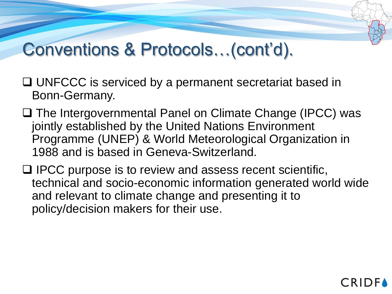#### Conventions & Protocols…(cont'd).

- □ UNFCCC is serviced by a permanent secretariat based in Bonn-Germany.
- □ The Intergovernmental Panel on Climate Change (IPCC) was jointly established by the United Nations Environment Programme (UNEP) & World Meteorological Organization in 1988 and is based in Geneva-Switzerland.
- $\Box$  IPCC purpose is to review and assess recent scientific, technical and socio-economic information generated world wide and relevant to climate change and presenting it to policy/decision makers for their use.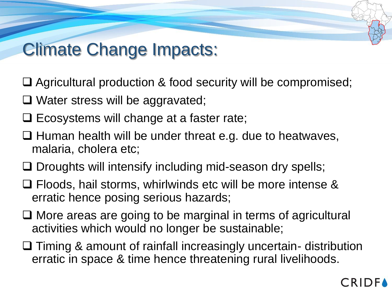## Climate Change Impacts:

- □ Agricultural production & food security will be compromised;
- $\Box$  Water stress will be aggravated;
- $\Box$  Ecosystems will change at a faster rate;
- $\Box$  Human health will be under threat e.g. due to heatwaves, malaria, cholera etc;
- $\Box$  Droughts will intensify including mid-season dry spells;
- □ Floods, hail storms, whirlwinds etc will be more intense & erratic hence posing serious hazards;
- $\Box$  More areas are going to be marginal in terms of agricultural activities which would no longer be sustainable;
- □ Timing & amount of rainfall increasingly uncertain- distribution erratic in space & time hence threatening rural livelihoods.

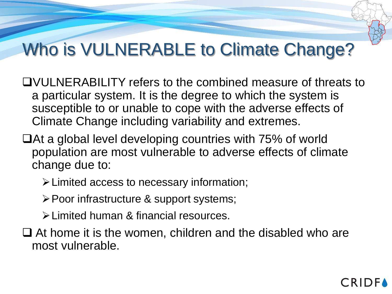# Who is VULNERABLE to Climate Change?

- VULNERABILITY refers to the combined measure of threats to a particular system. It is the degree to which the system is susceptible to or unable to cope with the adverse effects of Climate Change including variability and extremes.
- a global level developing countries with 75% of world population are most vulnerable to adverse effects of climate change due to:
	- ➢Limited access to necessary information;
	- ➢Poor infrastructure & support systems;
	- ➢Limited human & financial resources.
- □ At home it is the women, children and the disabled who are most vulnerable.

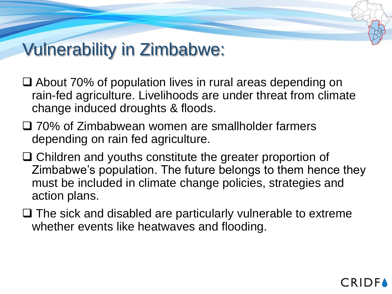## Vulnerability in Zimbabwe:

- About 70% of population lives in rural areas depending on rain-fed agriculture. Livelihoods are under threat from climate change induced droughts & floods.
- □ 70% of Zimbabwean women are smallholder farmers depending on rain fed agriculture.
- □ Children and youths constitute the greater proportion of Zimbabwe's population. The future belongs to them hence they must be included in climate change policies, strategies and action plans.
- $\Box$  The sick and disabled are particularly vulnerable to extreme whether events like heatwaves and flooding.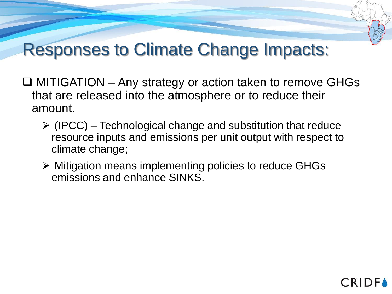#### Responses to Climate Change Impacts:

- $\Box$  MITIGATION Any strategy or action taken to remove GHGs that are released into the atmosphere or to reduce their amount.
	- $\triangleright$  (IPCC) Technological change and substitution that reduce resource inputs and emissions per unit output with respect to climate change;

**CRIDF** 

➢ Mitigation means implementing policies to reduce GHGs emissions and enhance SINKS.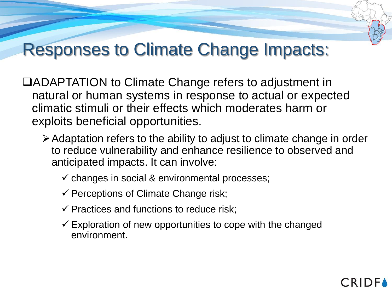#### Responses to Climate Change Impacts:

- ADAPTATION to Climate Change refers to adjustment in natural or human systems in response to actual or expected climatic stimuli or their effects which moderates harm or exploits beneficial opportunities.
	- ➢Adaptation refers to the ability to adjust to climate change in order to reduce vulnerability and enhance resilience to observed and anticipated impacts. It can involve:
		- $\checkmark$  changes in social & environmental processes;
		- $\checkmark$  Perceptions of Climate Change risk;
		- $\checkmark$  Practices and functions to reduce risk;
		- $\checkmark$  Exploration of new opportunities to cope with the changed environment.

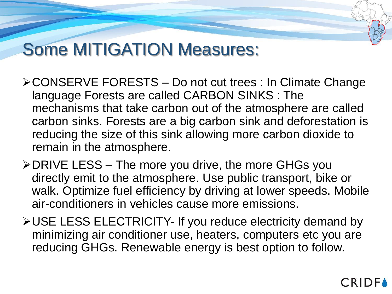### Some MITIGATION Measures:

- ➢CONSERVE FORESTS Do not cut trees : In Climate Change language Forests are called CARBON SINKS : The mechanisms that take carbon out of the atmosphere are called carbon sinks. Forests are a big carbon sink and deforestation is reducing the size of this sink allowing more carbon dioxide to remain in the atmosphere.
- ➢DRIVE LESS The more you drive, the more GHGs you directly emit to the atmosphere. Use public transport, bike or walk. Optimize fuel efficiency by driving at lower speeds. Mobile air-conditioners in vehicles cause more emissions.
- ➢USE LESS ELECTRICITY- If you reduce electricity demand by minimizing air conditioner use, heaters, computers etc you are reducing GHGs. Renewable energy is best option to follow.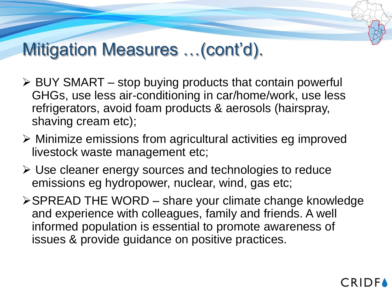## Mitigation Measures …(cont'd).

- ➢ BUY SMART stop buying products that contain powerful GHGs, use less air-conditioning in car/home/work, use less refrigerators, avoid foam products & aerosols (hairspray, shaving cream etc);
- ➢ Minimize emissions from agricultural activities eg improved livestock waste management etc;
- ➢ Use cleaner energy sources and technologies to reduce emissions eg hydropower, nuclear, wind, gas etc;
- ➢SPREAD THE WORD share your climate change knowledge and experience with colleagues, family and friends. A well informed population is essential to promote awareness of issues & provide guidance on positive practices.

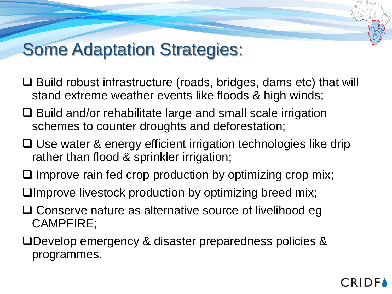#### Some Adaptation Strategies:

- □ Build robust infrastructure (roads, bridges, dams etc) that will stand extreme weather events like floods & high winds;
- $\Box$  Build and/or rehabilitate large and small scale irrigation schemes to counter droughts and deforestation;
- □ Use water & energy efficient irrigation technologies like drip rather than flood & sprinkler irrigation;
- $\Box$  Improve rain fed crop production by optimizing crop mix;
- Improve livestock production by optimizing breed mix;
- □ Conserve nature as alternative source of livelihood eg CAMPFIRE;
- Develop emergency & disaster preparedness policies & programmes.

#### **CRIDF**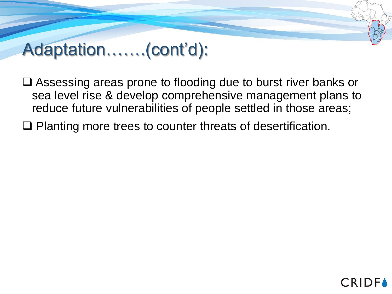### Adaptation…….(cont'd):

□ Assessing areas prone to flooding due to burst river banks or sea level rise & develop comprehensive management plans to reduce future vulnerabilities of people settled in those areas;

□ Planting more trees to counter threats of desertification.

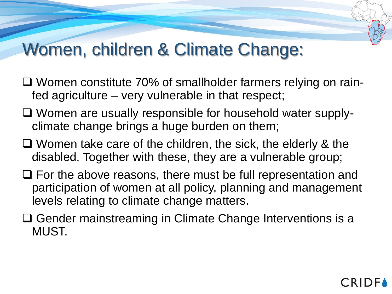#### Women, children & Climate Change:

- □ Women constitute 70% of smallholder farmers relying on rainfed agriculture – very vulnerable in that respect;
- Women are usually responsible for household water supplyclimate change brings a huge burden on them;
- □ Women take care of the children, the sick, the elderly & the disabled. Together with these, they are a vulnerable group;
- $\Box$  For the above reasons, there must be full representation and participation of women at all policy, planning and management levels relating to climate change matters.
- □ Gender mainstreaming in Climate Change Interventions is a MUST.

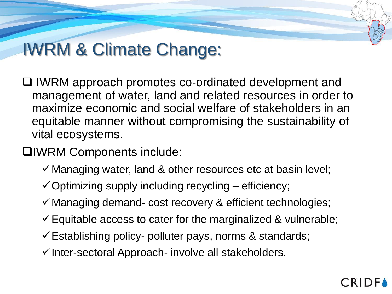# IWRM & Climate Change:

- □ IWRM approach promotes co-ordinated development and management of water, land and related resources in order to maximize economic and social welfare of stakeholders in an equitable manner without compromising the sustainability of vital ecosystems.
- IWRM Components include:
	- $\checkmark$  Managing water, land & other resources etc at basin level;
	- $\checkmark$  Optimizing supply including recycling efficiency;
	- ✓Managing demand- cost recovery & efficient technologies;
	- $\checkmark$  Equitable access to cater for the marginalized & vulnerable;
	- $\checkmark$  Establishing policy- polluter pays, norms & standards;
	- ✓Inter-sectoral Approach- involve all stakeholders.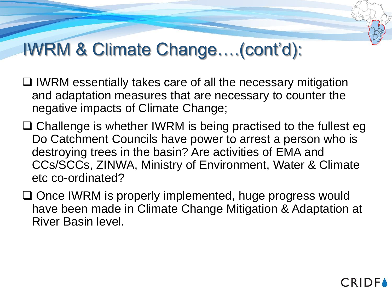# IWRM & Climate Change….(cont'd):

- $\Box$  IWRM essentially takes care of all the necessary mitigation and adaptation measures that are necessary to counter the negative impacts of Climate Change;
- $\Box$  Challenge is whether IWRM is being practised to the fullest eg Do Catchment Councils have power to arrest a person who is destroying trees in the basin? Are activities of EMA and CCs/SCCs, ZINWA, Ministry of Environment, Water & Climate etc co-ordinated?
- □ Once IWRM is properly implemented, huge progress would have been made in Climate Change Mitigation & Adaptation at River Basin level.